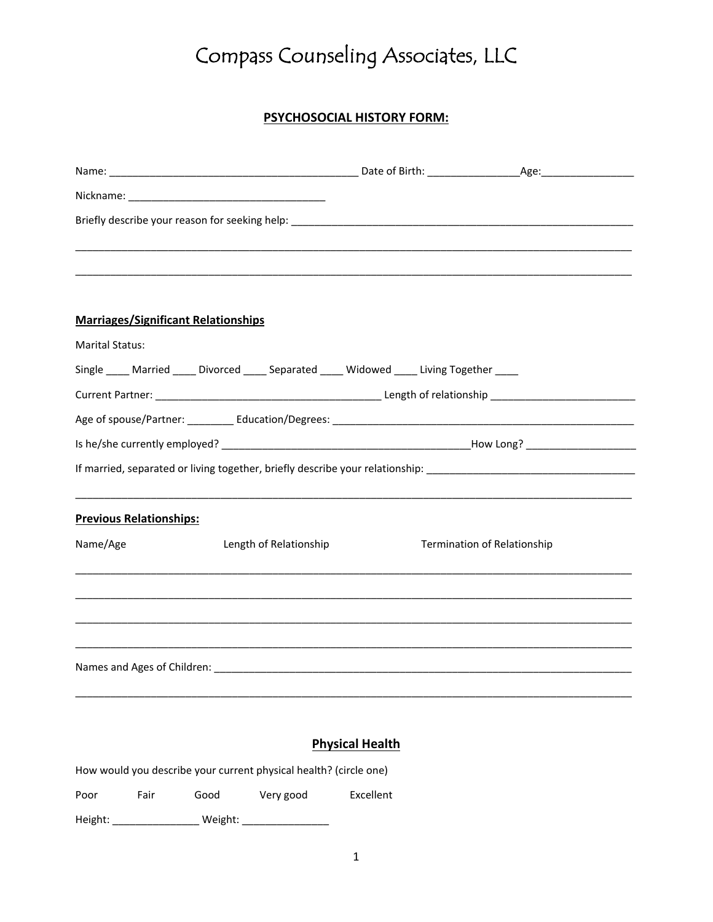# Compass Counseling Associates, LLC

# **PSYCHOSOCIAL HISTORY FORM:**

| <b>Marriages/Significant Relationships</b>                                              |                        |                                    |
|-----------------------------------------------------------------------------------------|------------------------|------------------------------------|
| <b>Marital Status:</b>                                                                  |                        |                                    |
| Single ____ Married ____ Divorced ____ Separated ____ Widowed ____ Living Together ____ |                        |                                    |
|                                                                                         |                        |                                    |
|                                                                                         |                        |                                    |
|                                                                                         |                        |                                    |
|                                                                                         |                        |                                    |
|                                                                                         |                        |                                    |
| <b>Previous Relationships:</b>                                                          |                        |                                    |
| Name/Age                                                                                | Length of Relationship | <b>Termination of Relationship</b> |
|                                                                                         |                        |                                    |
|                                                                                         |                        |                                    |
|                                                                                         |                        |                                    |
|                                                                                         |                        |                                    |
|                                                                                         |                        |                                    |
|                                                                                         |                        |                                    |
|                                                                                         |                        |                                    |

#### **Physical Health**

How would you describe your current physical health? (circle one)

Poor Fair Good Very good Excellent

Height: \_\_\_\_\_\_\_\_\_\_\_\_\_\_\_ Weight: \_\_\_\_\_\_\_\_\_\_\_\_\_\_\_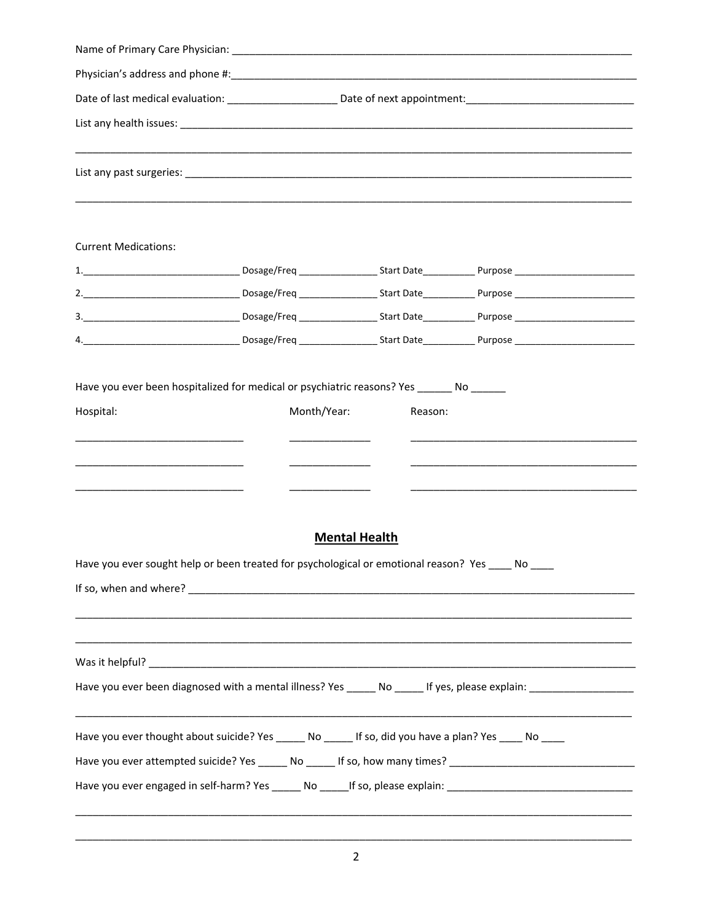| <b>Current Medications:</b>                                                                                    |  |                      |                                                                                   |  |  |
|----------------------------------------------------------------------------------------------------------------|--|----------------------|-----------------------------------------------------------------------------------|--|--|
|                                                                                                                |  |                      |                                                                                   |  |  |
|                                                                                                                |  |                      |                                                                                   |  |  |
|                                                                                                                |  |                      |                                                                                   |  |  |
|                                                                                                                |  |                      |                                                                                   |  |  |
| <u> 1980 - Jan Barbara, martin da kasar Indonesia.</u>                                                         |  |                      |                                                                                   |  |  |
|                                                                                                                |  | <b>Mental Health</b> |                                                                                   |  |  |
| Have you ever sought help or been treated for psychological or emotional reason? Yes ____ No ____              |  |                      |                                                                                   |  |  |
|                                                                                                                |  |                      |                                                                                   |  |  |
|                                                                                                                |  |                      |                                                                                   |  |  |
|                                                                                                                |  |                      | ,我们也不能在这里的人,我们也不能在这里的人,我们也不能在这里的人,我们也不能在这里的人,我们也不能在这里的人,我们也不能在这里的人,我们也不能在这里的人,我们也 |  |  |
|                                                                                                                |  |                      |                                                                                   |  |  |
|                                                                                                                |  |                      |                                                                                   |  |  |
| Have you ever thought about suicide? Yes ______ No ______ If so, did you have a plan? Yes ____ No ____         |  |                      |                                                                                   |  |  |
| Have you ever attempted suicide? Yes ______ No _____ If so, how many times? __________________________________ |  |                      |                                                                                   |  |  |
| Have you ever engaged in self-harm? Yes ______ No _____If so, please explain: ________________________________ |  |                      |                                                                                   |  |  |
|                                                                                                                |  |                      |                                                                                   |  |  |

 $\overline{c}$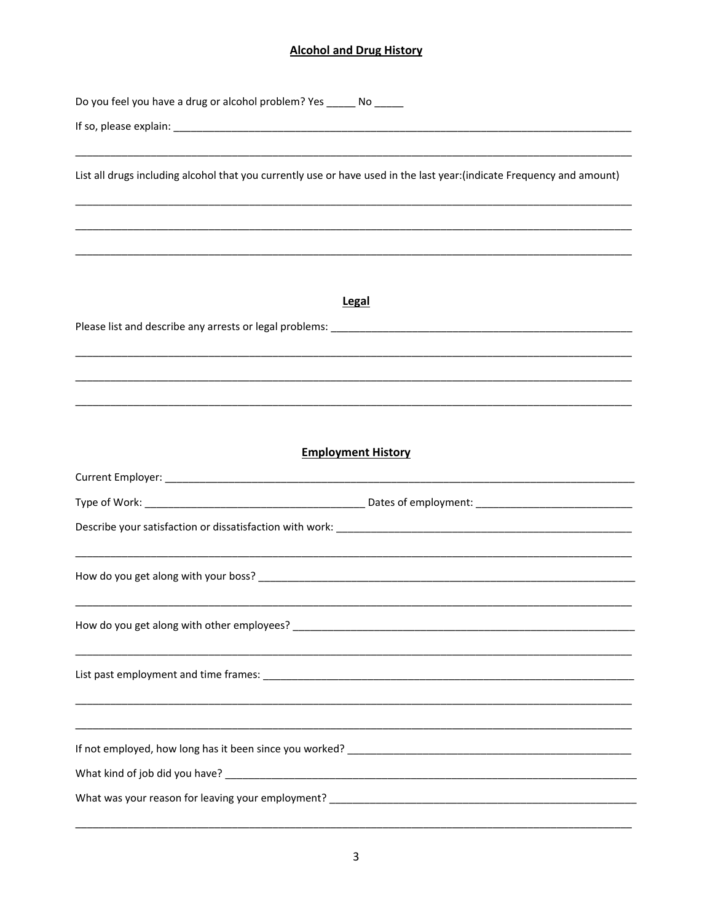# **Alcohol and Drug History**

| Do you feel you have a drug or alcohol problem? Yes _______ No ______                                                                                                                                                          |
|--------------------------------------------------------------------------------------------------------------------------------------------------------------------------------------------------------------------------------|
|                                                                                                                                                                                                                                |
|                                                                                                                                                                                                                                |
| List all drugs including alcohol that you currently use or have used in the last year:(indicate Frequency and amount)                                                                                                          |
|                                                                                                                                                                                                                                |
|                                                                                                                                                                                                                                |
|                                                                                                                                                                                                                                |
| <b>Legal</b>                                                                                                                                                                                                                   |
| Please list and describe any arrests or legal problems: North and the state of the state of the state of the state of the state of the state of the state of the state of the state of the state of the state of the state of  |
|                                                                                                                                                                                                                                |
|                                                                                                                                                                                                                                |
|                                                                                                                                                                                                                                |
| <b>Employment History</b>                                                                                                                                                                                                      |
|                                                                                                                                                                                                                                |
|                                                                                                                                                                                                                                |
|                                                                                                                                                                                                                                |
|                                                                                                                                                                                                                                |
|                                                                                                                                                                                                                                |
| How do you get along with other employees? The manufacturer and the control of the control of the control of the control of the control of the control of the control of the control of the control of the control of the cont |
|                                                                                                                                                                                                                                |
|                                                                                                                                                                                                                                |
|                                                                                                                                                                                                                                |
|                                                                                                                                                                                                                                |
|                                                                                                                                                                                                                                |
|                                                                                                                                                                                                                                |
|                                                                                                                                                                                                                                |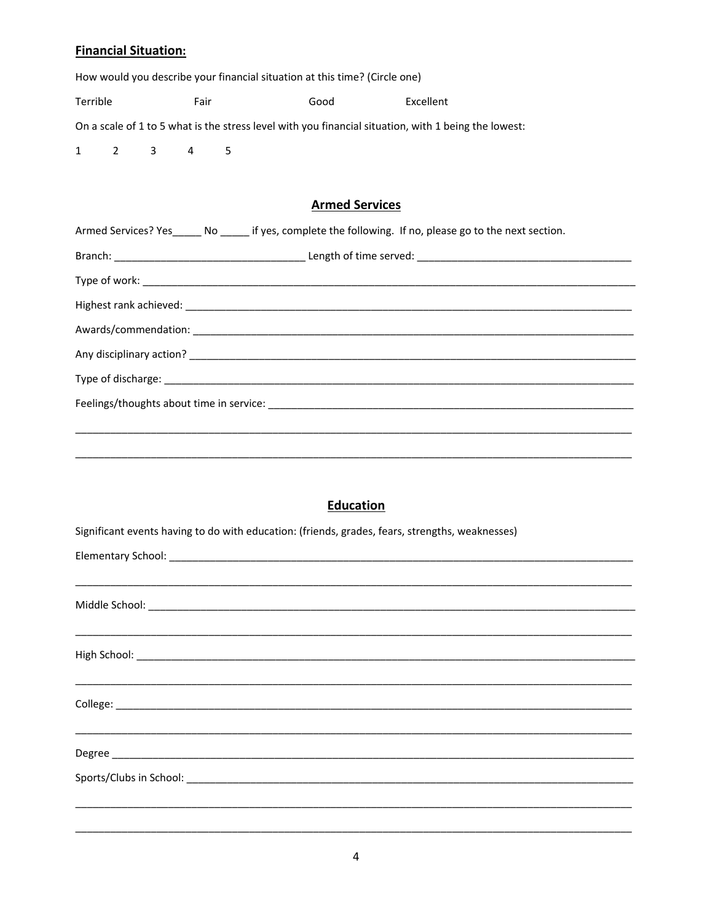# **Financial Situation:**

|                                                                                                      |  | Filidiitidi Situdtion. |                             |    |                                                                            |                                                                                                           |  |
|------------------------------------------------------------------------------------------------------|--|------------------------|-----------------------------|----|----------------------------------------------------------------------------|-----------------------------------------------------------------------------------------------------------|--|
|                                                                                                      |  |                        |                             |    | How would you describe your financial situation at this time? (Circle one) |                                                                                                           |  |
| Terrible                                                                                             |  |                        | Fair                        |    | Good                                                                       | Excellent                                                                                                 |  |
| On a scale of 1 to 5 what is the stress level with you financial situation, with 1 being the lowest: |  |                        |                             |    |                                                                            |                                                                                                           |  |
|                                                                                                      |  |                        | $1 \quad 2 \quad 3 \quad 4$ | -5 |                                                                            |                                                                                                           |  |
|                                                                                                      |  |                        |                             |    |                                                                            |                                                                                                           |  |
|                                                                                                      |  |                        |                             |    | <b>Armed Services</b>                                                      |                                                                                                           |  |
|                                                                                                      |  |                        |                             |    |                                                                            | Armed Services? Yes______ No ______ if yes, complete the following. If no, please go to the next section. |  |
|                                                                                                      |  |                        |                             |    |                                                                            |                                                                                                           |  |
|                                                                                                      |  |                        |                             |    |                                                                            |                                                                                                           |  |
|                                                                                                      |  |                        |                             |    |                                                                            |                                                                                                           |  |
|                                                                                                      |  |                        |                             |    |                                                                            |                                                                                                           |  |
|                                                                                                      |  |                        |                             |    |                                                                            |                                                                                                           |  |
|                                                                                                      |  |                        |                             |    |                                                                            |                                                                                                           |  |
|                                                                                                      |  |                        |                             |    |                                                                            |                                                                                                           |  |
|                                                                                                      |  |                        |                             |    |                                                                            |                                                                                                           |  |
|                                                                                                      |  |                        |                             |    |                                                                            |                                                                                                           |  |

# Education

| Significant events having to do with education: (friends, grades, fears, strengths, weaknesses) |
|-------------------------------------------------------------------------------------------------|
| Elementary School: elementary School:                                                           |
|                                                                                                 |
|                                                                                                 |
|                                                                                                 |
|                                                                                                 |
|                                                                                                 |
|                                                                                                 |
|                                                                                                 |
|                                                                                                 |
|                                                                                                 |
|                                                                                                 |
|                                                                                                 |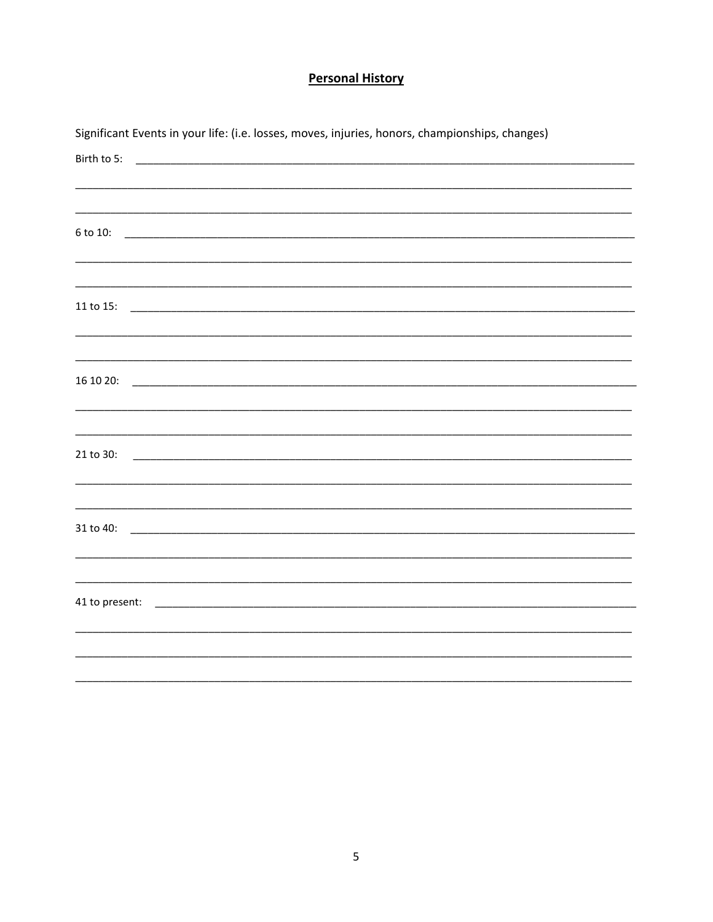# **Personal History**

|                | Significant Events in your life: (i.e. losses, moves, injuries, honors, championships, changes) |
|----------------|-------------------------------------------------------------------------------------------------|
| Birth to 5:    |                                                                                                 |
|                |                                                                                                 |
|                |                                                                                                 |
| 6 to 10:       |                                                                                                 |
|                |                                                                                                 |
|                |                                                                                                 |
|                |                                                                                                 |
| 11 to 15:      |                                                                                                 |
|                |                                                                                                 |
|                |                                                                                                 |
| 16 10 20:      |                                                                                                 |
|                |                                                                                                 |
|                |                                                                                                 |
| 21 to 30:      |                                                                                                 |
|                |                                                                                                 |
|                |                                                                                                 |
|                |                                                                                                 |
| 31 to 40:      |                                                                                                 |
|                |                                                                                                 |
|                |                                                                                                 |
| 41 to present: |                                                                                                 |
|                |                                                                                                 |
|                |                                                                                                 |
|                |                                                                                                 |
|                |                                                                                                 |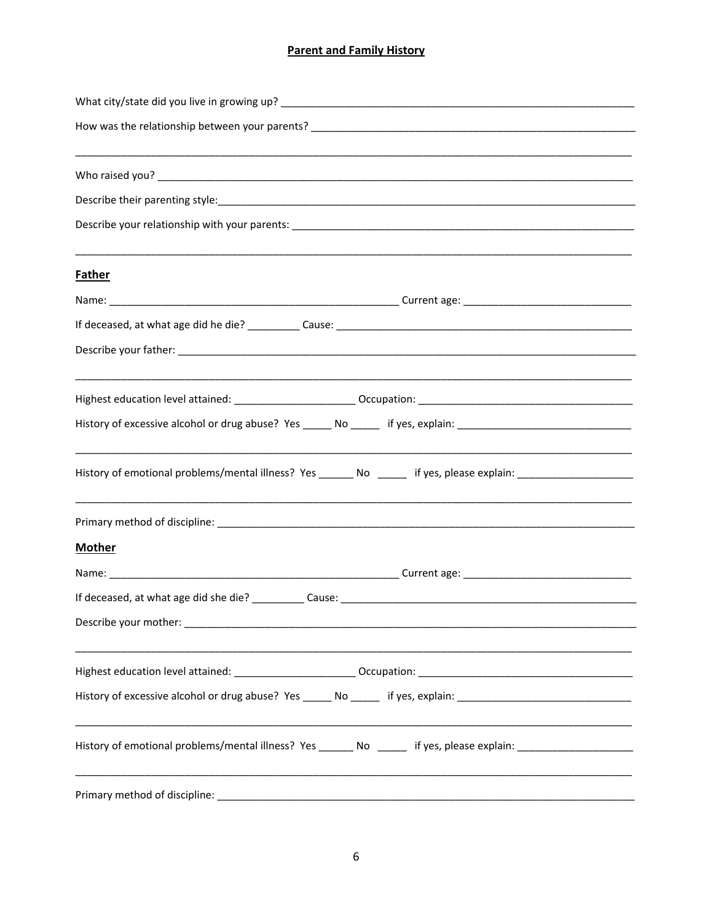# **Parent and Family History**

| <b>Father</b>                                                                                                  |  |  |  |  |
|----------------------------------------------------------------------------------------------------------------|--|--|--|--|
|                                                                                                                |  |  |  |  |
|                                                                                                                |  |  |  |  |
|                                                                                                                |  |  |  |  |
|                                                                                                                |  |  |  |  |
| History of excessive alcohol or drug abuse? Yes _____ No _____ if yes, explain: ______________________________ |  |  |  |  |
| History of emotional problems/mental illness? Yes ______ No ______ if yes, please explain: ___________________ |  |  |  |  |
|                                                                                                                |  |  |  |  |
| <b>Mother</b>                                                                                                  |  |  |  |  |
|                                                                                                                |  |  |  |  |
|                                                                                                                |  |  |  |  |
|                                                                                                                |  |  |  |  |
|                                                                                                                |  |  |  |  |
| History of excessive alcohol or drug abuse? Yes _____ No _____ if yes, explain: ______________________________ |  |  |  |  |
| History of emotional problems/mental illness? Yes ______ No _____ if yes, please explain: ____________________ |  |  |  |  |
|                                                                                                                |  |  |  |  |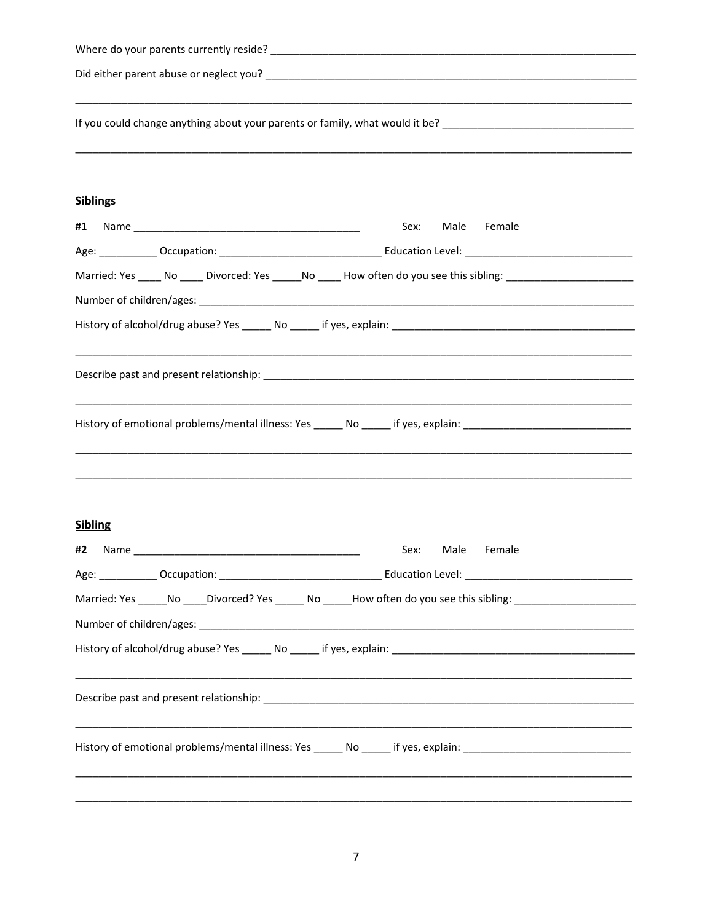| If you could change anything about your parents or family, what would it be? _________________________________       |                                                                                                                |  |  |  |
|----------------------------------------------------------------------------------------------------------------------|----------------------------------------------------------------------------------------------------------------|--|--|--|
| <b>Siblings</b>                                                                                                      |                                                                                                                |  |  |  |
| #1                                                                                                                   | Sex:<br>Male<br>Female                                                                                         |  |  |  |
|                                                                                                                      |                                                                                                                |  |  |  |
| Married: Yes ______ No _____ Divorced: Yes ______ No _____ How often do you see this sibling: ______________________ |                                                                                                                |  |  |  |
|                                                                                                                      |                                                                                                                |  |  |  |
|                                                                                                                      |                                                                                                                |  |  |  |
|                                                                                                                      |                                                                                                                |  |  |  |
| History of emotional problems/mental illness: Yes ______ No _____ if yes, explain: ___________________________       |                                                                                                                |  |  |  |
| <b>Sibling</b>                                                                                                       |                                                                                                                |  |  |  |
| #2<br>Name                                                                                                           | Sex:<br>Female<br>Male                                                                                         |  |  |  |
|                                                                                                                      |                                                                                                                |  |  |  |
|                                                                                                                      | Married: Yes ______No _____Divorced? Yes _______ No ______How often do you see this sibling: _________________ |  |  |  |
|                                                                                                                      |                                                                                                                |  |  |  |
|                                                                                                                      |                                                                                                                |  |  |  |
|                                                                                                                      |                                                                                                                |  |  |  |
|                                                                                                                      | ,我们也不能在这里的,我们也不能在这里的,我们也不能不能不能不能不能不能不能不能不能不能不能不能不能不能。""我们的,我们也不能不能不能不能不能不能不能不能不能                               |  |  |  |
|                                                                                                                      |                                                                                                                |  |  |  |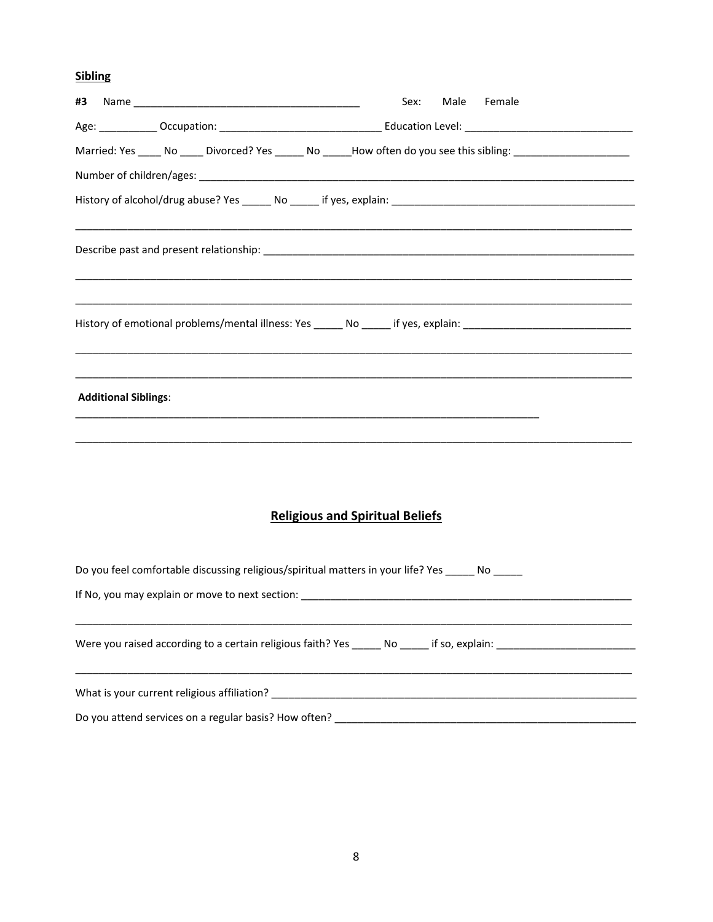# **Sibling**

| #3                                                                                                                                                  | Male Female<br>Sex:                                                                                            |
|-----------------------------------------------------------------------------------------------------------------------------------------------------|----------------------------------------------------------------------------------------------------------------|
|                                                                                                                                                     |                                                                                                                |
|                                                                                                                                                     | Married: Yes _____ No _____ Divorced? Yes ______ No _____How often do you see this sibling: __________________ |
|                                                                                                                                                     |                                                                                                                |
|                                                                                                                                                     |                                                                                                                |
|                                                                                                                                                     |                                                                                                                |
|                                                                                                                                                     |                                                                                                                |
| <b>Additional Siblings:</b><br><u> 1989 - Johann Barn, amerikan bernama di sebagai bernama dalam bernama dalam bernama dalam bernama dalam bern</u> | ,我们也不能在这里的,我们也不能在这里的,我们也不能在这里的,我们也不能不能不能不能不能不能不能不能不能不能。""我们,我们也不能不能不能不能不能不能不能不能不能                              |
|                                                                                                                                                     |                                                                                                                |
|                                                                                                                                                     | <b>Religious and Spiritual Beliefs</b>                                                                         |
| Do you feel comfortable discussing religious/spiritual matters in your life? Yes _____ No _____                                                     |                                                                                                                |
|                                                                                                                                                     |                                                                                                                |
|                                                                                                                                                     | Were you raised according to a certain religious faith? Yes _______ No ______ if so, explain: ______           |
|                                                                                                                                                     |                                                                                                                |
|                                                                                                                                                     |                                                                                                                |